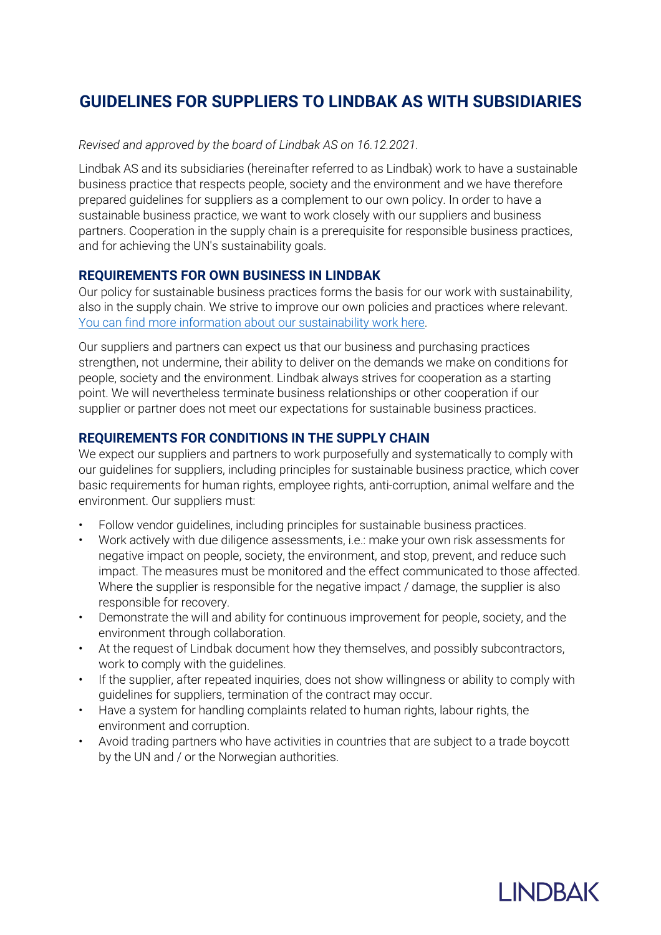# **GUIDELINES FOR SUPPLIERS TO LINDBAK AS WITH SUBSIDIARIES**

#### *Revised and approved by the board of Lindbak AS on 16.12.2021.*

Lindbak AS and its subsidiaries (hereinafter referred to as Lindbak) work to have a sustainable business practice that respects people, society and the environment and we have therefore prepared guidelines for suppliers as a complement to our own policy. In order to have a sustainable business practice, we want to work closely with our suppliers and business partners. Cooperation in the supply chain is a prerequisite for responsible business practices, and for achieving the UN's sustainability goals.

## **REQUIREMENTS FOR OWN BUSINESS IN LINDBAK**

Our policy for sustainable business practices forms the basis for our work with sustainability, also in the supply chain. We strive to improve our own policies and practices where relevant. You can find more information about our sustainability work here.

Our suppliers and partners can expect us that our business and purchasing practices strengthen, not undermine, their ability to deliver on the demands we make on conditions for people, society and the environment. Lindbak always strives for cooperation as a starting point. We will nevertheless terminate business relationships or other cooperation if our supplier or partner does not meet our expectations for sustainable business practices.

# **REQUIREMENTS FOR CONDITIONS IN THE SUPPLY CHAIN**

We expect our suppliers and partners to work purposefully and systematically to comply with our guidelines for suppliers, including principles for sustainable business practice, which cover basic requirements for human rights, employee rights, anti-corruption, animal welfare and the environment. Our suppliers must:

- Follow vendor guidelines, including principles for sustainable business practices.
- Work actively with due diligence assessments, i.e.: make your own risk assessments for negative impact on people, society, the environment, and stop, prevent, and reduce such impact. The measures must be monitored and the effect communicated to those affected. Where the supplier is responsible for the negative impact / damage, the supplier is also responsible for recovery.
- Demonstrate the will and ability for continuous improvement for people, society, and the environment through collaboration.
- At the request of Lindbak document how they themselves, and possibly subcontractors, work to comply with the guidelines.
- If the supplier, after repeated inquiries, does not show willingness or ability to comply with guidelines for suppliers, termination of the contract may occur.
- Have a system for handling complaints related to human rights, labour rights, the environment and corruption.
- Avoid trading partners who have activities in countries that are subject to a trade boycott by the UN and / or the Norwegian authorities.

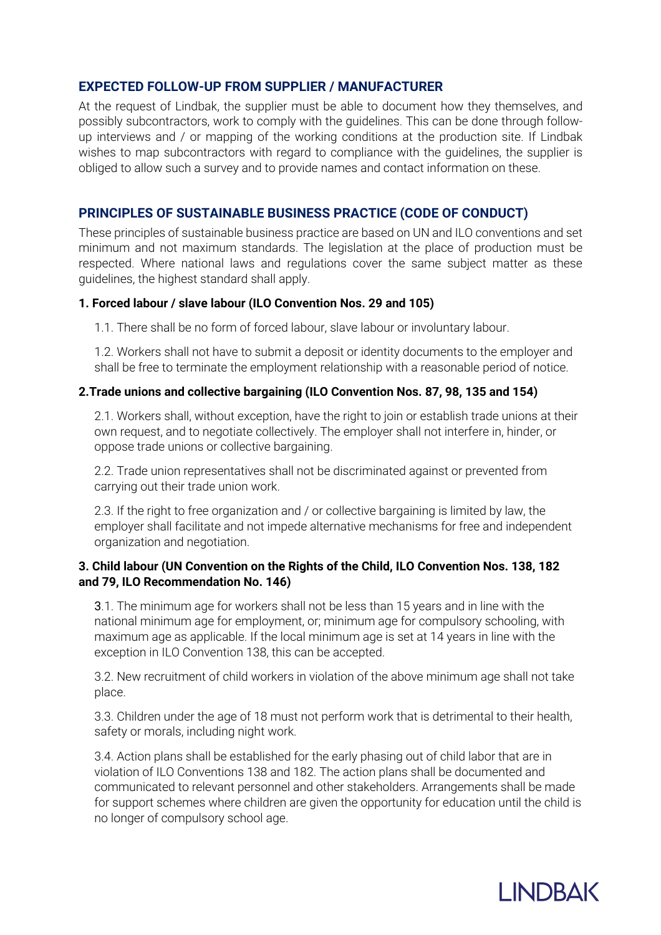## **EXPECTED FOLLOW-UP FROM SUPPLIER / MANUFACTURER**

At the request of Lindbak, the supplier must be able to document how they themselves, and possibly subcontractors, work to comply with the guidelines. This can be done through followup interviews and / or mapping of the working conditions at the production site. If Lindbak wishes to map subcontractors with regard to compliance with the guidelines, the supplier is obliged to allow such a survey and to provide names and contact information on these.

## **PRINCIPLES OF SUSTAINABLE BUSINESS PRACTICE (CODE OF CONDUCT)**

These principles of sustainable business practice are based on UN and ILO conventions and set minimum and not maximum standards. The legislation at the place of production must be respected. Where national laws and regulations cover the same subject matter as these guidelines, the highest standard shall apply.

#### **1. Forced labour / slave labour (ILO Convention Nos. 29 and 105)**

1.1. There shall be no form of forced labour, slave labour or involuntary labour.

1.2. Workers shall not have to submit a deposit or identity documents to the employer and shall be free to terminate the employment relationship with a reasonable period of notice.

#### **2.Trade unions and collective bargaining (ILO Convention Nos. 87, 98, 135 and 154)**

2.1. Workers shall, without exception, have the right to join or establish trade unions at their own request, and to negotiate collectively. The employer shall not interfere in, hinder, or oppose trade unions or collective bargaining.

2.2. Trade union representatives shall not be discriminated against or prevented from carrying out their trade union work.

2.3. If the right to free organization and / or collective bargaining is limited by law, the employer shall facilitate and not impede alternative mechanisms for free and independent organization and negotiation.

#### **3. Child labour (UN Convention on the Rights of the Child, ILO Convention Nos. 138, 182 and 79, ILO Recommendation No. 146)**

3.1. The minimum age for workers shall not be less than 15 years and in line with the national minimum age for employment, or; minimum age for compulsory schooling, with maximum age as applicable. If the local minimum age is set at 14 years in line with the exception in ILO Convention 138, this can be accepted.

3.2. New recruitment of child workers in violation of the above minimum age shall not take place.

3.3. Children under the age of 18 must not perform work that is detrimental to their health, safety or morals, including night work.

3.4. Action plans shall be established for the early phasing out of child labor that are in violation of ILO Conventions 138 and 182. The action plans shall be documented and communicated to relevant personnel and other stakeholders. Arrangements shall be made for support schemes where children are given the opportunity for education until the child is no longer of compulsory school age.

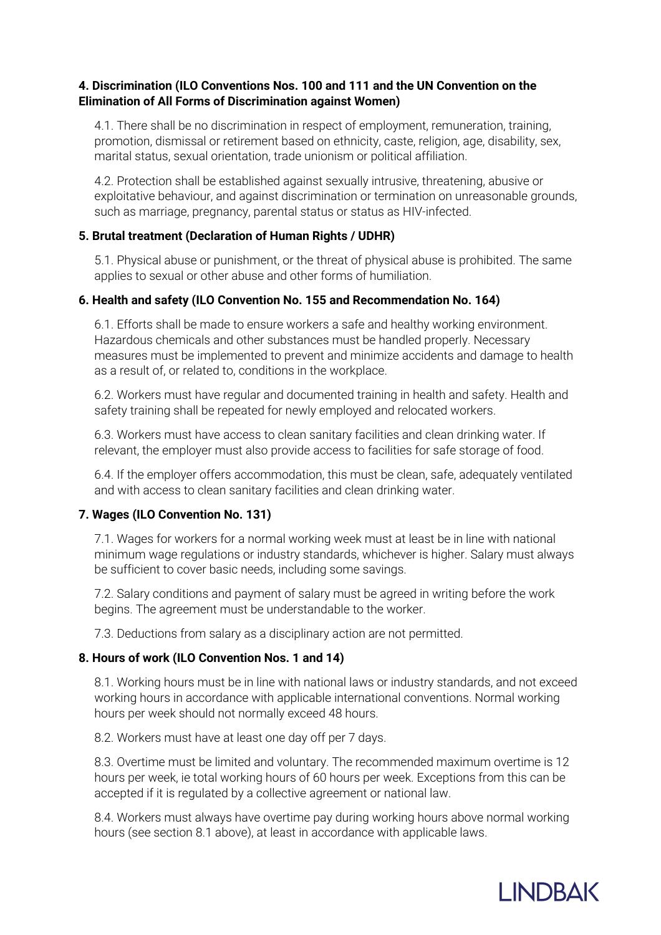## **4. Discrimination (ILO Conventions Nos. 100 and 111 and the UN Convention on the Elimination of All Forms of Discrimination against Women)**

4.1. There shall be no discrimination in respect of employment, remuneration, training, promotion, dismissal or retirement based on ethnicity, caste, religion, age, disability, sex, marital status, sexual orientation, trade unionism or political affiliation.

4.2. Protection shall be established against sexually intrusive, threatening, abusive or exploitative behaviour, and against discrimination or termination on unreasonable grounds, such as marriage, pregnancy, parental status or status as HIV-infected.

## **5. Brutal treatment (Declaration of Human Rights / UDHR)**

5.1. Physical abuse or punishment, or the threat of physical abuse is prohibited. The same applies to sexual or other abuse and other forms of humiliation.

## **6. Health and safety (ILO Convention No. 155 and Recommendation No. 164)**

6.1. Efforts shall be made to ensure workers a safe and healthy working environment. Hazardous chemicals and other substances must be handled properly. Necessary measures must be implemented to prevent and minimize accidents and damage to health as a result of, or related to, conditions in the workplace.

6.2. Workers must have regular and documented training in health and safety. Health and safety training shall be repeated for newly employed and relocated workers.

6.3. Workers must have access to clean sanitary facilities and clean drinking water. If relevant, the employer must also provide access to facilities for safe storage of food.

6.4. If the employer offers accommodation, this must be clean, safe, adequately ventilated and with access to clean sanitary facilities and clean drinking water.

## **7. Wages (ILO Convention No. 131)**

7.1. Wages for workers for a normal working week must at least be in line with national minimum wage regulations or industry standards, whichever is higher. Salary must always be sufficient to cover basic needs, including some savings.

7.2. Salary conditions and payment of salary must be agreed in writing before the work begins. The agreement must be understandable to the worker.

7.3. Deductions from salary as a disciplinary action are not permitted.

## **8. Hours of work (ILO Convention Nos. 1 and 14)**

8.1. Working hours must be in line with national laws or industry standards, and not exceed working hours in accordance with applicable international conventions. Normal working hours per week should not normally exceed 48 hours.

8.2. Workers must have at least one day off per 7 days.

8.3. Overtime must be limited and voluntary. The recommended maximum overtime is 12 hours per week, ie total working hours of 60 hours per week. Exceptions from this can be accepted if it is regulated by a collective agreement or national law.

8.4. Workers must always have overtime pay during working hours above normal working hours (see section 8.1 above), at least in accordance with applicable laws.